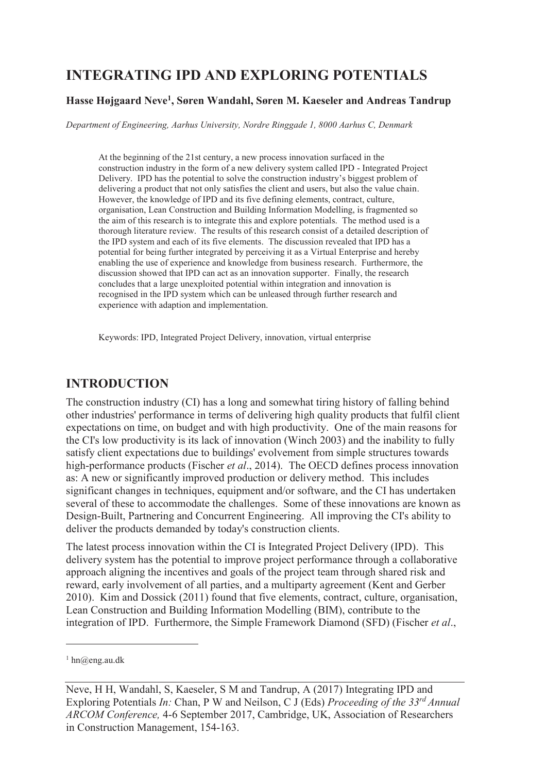# **INTEGRATING IPD AND EXPLORING POTENTIALS**

#### **Hasse Højgaard Neve<sup>1</sup> , Søren Wandahl, Søren M. Kaeseler and Andreas Tandrup**

*Department of Engineering, Aarhus University, Nordre Ringgade 1, 8000 Aarhus C, Denmark* 

At the beginning of the 21st century, a new process innovation surfaced in the construction industry in the form of a new delivery system called IPD - Integrated Project Delivery. IPD has the potential to solve the construction industry's biggest problem of delivering a product that not only satisfies the client and users, but also the value chain. However, the knowledge of IPD and its five defining elements, contract, culture, organisation, Lean Construction and Building Information Modelling, is fragmented so the aim of this research is to integrate this and explore potentials. The method used is a thorough literature review. The results of this research consist of a detailed description of the IPD system and each of its five elements. The discussion revealed that IPD has a potential for being further integrated by perceiving it as a Virtual Enterprise and hereby enabling the use of experience and knowledge from business research. Furthermore, the discussion showed that IPD can act as an innovation supporter. Finally, the research concludes that a large unexploited potential within integration and innovation is recognised in the IPD system which can be unleased through further research and experience with adaption and implementation.

Keywords: IPD, Integrated Project Delivery, innovation, virtual enterprise

### **INTRODUCTION**

The construction industry (CI) has a long and somewhat tiring history of falling behind other industries' performance in terms of delivering high quality products that fulfil client expectations on time, on budget and with high productivity. One of the main reasons for the CI's low productivity is its lack of innovation (Winch 2003) and the inability to fully satisfy client expectations due to buildings' evolvement from simple structures towards high-performance products (Fischer *et al*., 2014). The OECD defines process innovation as: A new or significantly improved production or delivery method. This includes significant changes in techniques, equipment and/or software, and the CI has undertaken several of these to accommodate the challenges. Some of these innovations are known as Design-Built, Partnering and Concurrent Engineering. All improving the CI's ability to deliver the products demanded by today's construction clients.

The latest process innovation within the CI is Integrated Project Delivery (IPD). This delivery system has the potential to improve project performance through a collaborative approach aligning the incentives and goals of the project team through shared risk and reward, early involvement of all parties, and a multiparty agreement (Kent and Gerber 2010). Kim and Dossick (2011) found that five elements, contract, culture, organisation, Lean Construction and Building Information Modelling (BIM), contribute to the integration of IPD. Furthermore, the Simple Framework Diamond (SFD) (Fischer *et al*.,

-

<sup>1</sup> hn@eng.au.dk

Neve, H H, Wandahl, S, Kaeseler, S M and Tandrup, A (2017) Integrating IPD and Exploring Potentials *In:* Chan, P W and Neilson, C J (Eds) *Proceeding of the 33rd Annual ARCOM Conference,* 4-6 September 2017, Cambridge, UK, Association of Researchers in Construction Management, 154-163.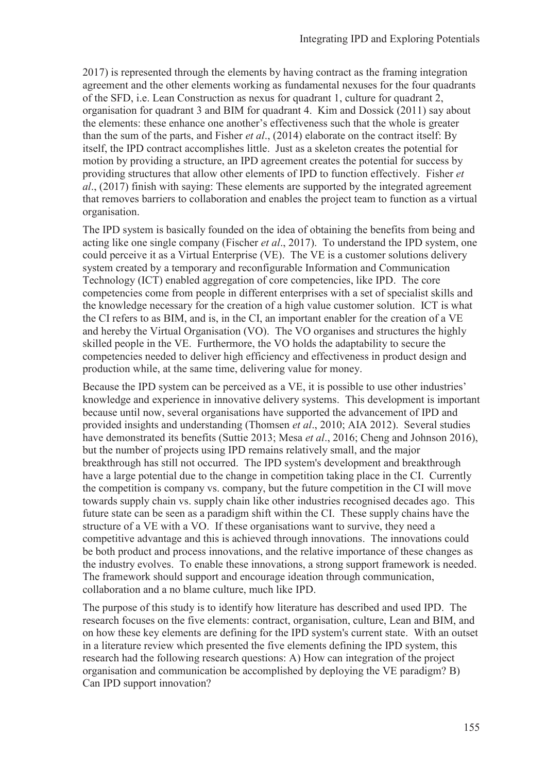2017) is represented through the elements by having contract as the framing integration agreement and the other elements working as fundamental nexuses for the four quadrants of the SFD, i.e. Lean Construction as nexus for quadrant 1, culture for quadrant 2, organisation for quadrant 3 and BIM for quadrant 4. Kim and Dossick (2011) say about the elements: these enhance one another's effectiveness such that the whole is greater than the sum of the parts, and Fisher *et al*., (2014) elaborate on the contract itself: By itself, the IPD contract accomplishes little. Just as a skeleton creates the potential for motion by providing a structure, an IPD agreement creates the potential for success by providing structures that allow other elements of IPD to function effectively. Fisher *et al*., (2017) finish with saying: These elements are supported by the integrated agreement that removes barriers to collaboration and enables the project team to function as a virtual organisation.

The IPD system is basically founded on the idea of obtaining the benefits from being and acting like one single company (Fischer *et al*., 2017). To understand the IPD system, one could perceive it as a Virtual Enterprise (VE). The VE is a customer solutions delivery system created by a temporary and reconfigurable Information and Communication Technology (ICT) enabled aggregation of core competencies, like IPD. The core competencies come from people in different enterprises with a set of specialist skills and the knowledge necessary for the creation of a high value customer solution. ICT is what the CI refers to as BIM, and is, in the CI, an important enabler for the creation of a VE and hereby the Virtual Organisation (VO). The VO organises and structures the highly skilled people in the VE. Furthermore, the VO holds the adaptability to secure the competencies needed to deliver high efficiency and effectiveness in product design and production while, at the same time, delivering value for money.

Because the IPD system can be perceived as a VE, it is possible to use other industries' knowledge and experience in innovative delivery systems. This development is important because until now, several organisations have supported the advancement of IPD and provided insights and understanding (Thomsen *et al*., 2010; AIA 2012). Several studies have demonstrated its benefits (Suttie 2013; Mesa *et al*., 2016; Cheng and Johnson 2016), but the number of projects using IPD remains relatively small, and the major breakthrough has still not occurred. The IPD system's development and breakthrough have a large potential due to the change in competition taking place in the CI. Currently the competition is company vs. company, but the future competition in the CI will move towards supply chain vs. supply chain like other industries recognised decades ago. This future state can be seen as a paradigm shift within the CI. These supply chains have the structure of a VE with a VO. If these organisations want to survive, they need a competitive advantage and this is achieved through innovations. The innovations could be both product and process innovations, and the relative importance of these changes as the industry evolves. To enable these innovations, a strong support framework is needed. The framework should support and encourage ideation through communication, collaboration and a no blame culture, much like IPD.

The purpose of this study is to identify how literature has described and used IPD. The research focuses on the five elements: contract, organisation, culture, Lean and BIM, and on how these key elements are defining for the IPD system's current state. With an outset in a literature review which presented the five elements defining the IPD system, this research had the following research questions: A) How can integration of the project organisation and communication be accomplished by deploying the VE paradigm? B) Can IPD support innovation?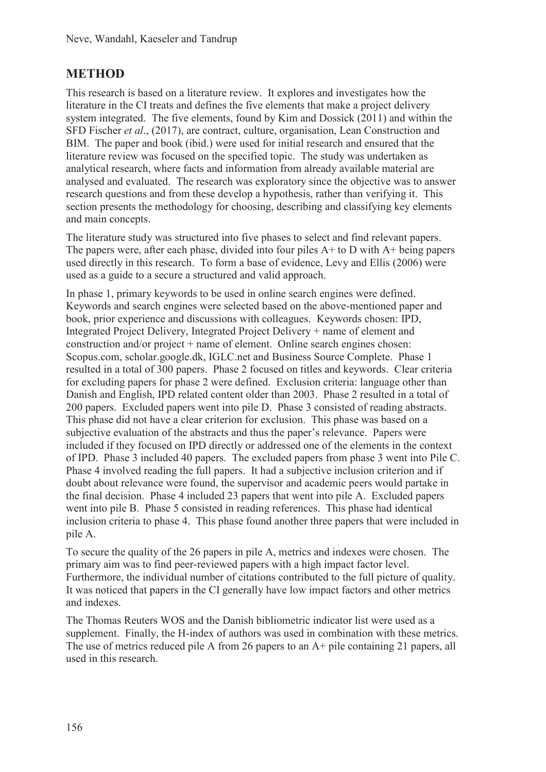## **METHOD**

This research is based on a literature review. It explores and investigates how the literature in the CI treats and defines the five elements that make a project delivery system integrated. The five elements, found by Kim and Dossick (2011) and within the SFD Fischer *et al*., (2017), are contract, culture, organisation, Lean Construction and BIM. The paper and book (ibid.) were used for initial research and ensured that the literature review was focused on the specified topic. The study was undertaken as analytical research, where facts and information from already available material are analysed and evaluated. The research was exploratory since the objective was to answer research questions and from these develop a hypothesis, rather than verifying it. This section presents the methodology for choosing, describing and classifying key elements and main concepts.

The literature study was structured into five phases to select and find relevant papers. The papers were, after each phase, divided into four piles A+ to D with A+ being papers used directly in this research. To form a base of evidence, Levy and Ellis (2006) were used as a guide to a secure a structured and valid approach.

In phase 1, primary keywords to be used in online search engines were defined. Keywords and search engines were selected based on the above-mentioned paper and book, prior experience and discussions with colleagues. Keywords chosen: IPD, Integrated Project Delivery, Integrated Project Delivery + name of element and construction and/or project + name of element. Online search engines chosen: Scopus.com, scholar.google.dk, IGLC.net and Business Source Complete. Phase 1 resulted in a total of 300 papers. Phase 2 focused on titles and keywords. Clear criteria for excluding papers for phase 2 were defined. Exclusion criteria: language other than Danish and English, IPD related content older than 2003. Phase 2 resulted in a total of 200 papers. Excluded papers went into pile D. Phase 3 consisted of reading abstracts. This phase did not have a clear criterion for exclusion. This phase was based on a subjective evaluation of the abstracts and thus the paper's relevance. Papers were included if they focused on IPD directly or addressed one of the elements in the context of IPD. Phase 3 included 40 papers. The excluded papers from phase 3 went into Pile C. Phase 4 involved reading the full papers. It had a subjective inclusion criterion and if doubt about relevance were found, the supervisor and academic peers would partake in the final decision. Phase 4 included 23 papers that went into pile A. Excluded papers went into pile B. Phase 5 consisted in reading references. This phase had identical inclusion criteria to phase 4. This phase found another three papers that were included in pile A.

To secure the quality of the 26 papers in pile A, metrics and indexes were chosen. The primary aim was to find peer-reviewed papers with a high impact factor level. Furthermore, the individual number of citations contributed to the full picture of quality. It was noticed that papers in the CI generally have low impact factors and other metrics and indexes.

The Thomas Reuters WOS and the Danish bibliometric indicator list were used as a supplement. Finally, the H-index of authors was used in combination with these metrics. The use of metrics reduced pile A from 26 papers to an A+ pile containing 21 papers, all used in this research.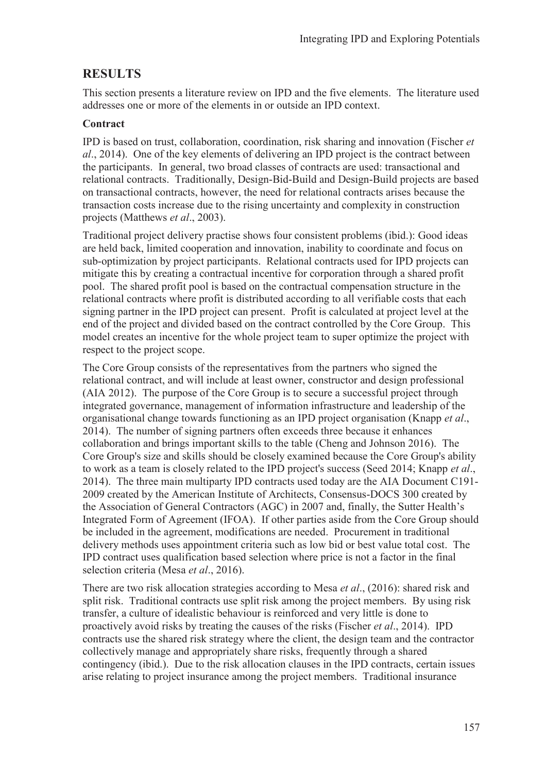### **RESULTS**

This section presents a literature review on IPD and the five elements. The literature used addresses one or more of the elements in or outside an IPD context.

#### **Contract**

IPD is based on trust, collaboration, coordination, risk sharing and innovation (Fischer *et al*., 2014). One of the key elements of delivering an IPD project is the contract between the participants. In general, two broad classes of contracts are used: transactional and relational contracts. Traditionally, Design-Bid-Build and Design-Build projects are based on transactional contracts, however, the need for relational contracts arises because the transaction costs increase due to the rising uncertainty and complexity in construction projects (Matthews *et al*., 2003).

Traditional project delivery practise shows four consistent problems (ibid.): Good ideas are held back, limited cooperation and innovation, inability to coordinate and focus on sub-optimization by project participants. Relational contracts used for IPD projects can mitigate this by creating a contractual incentive for corporation through a shared profit pool. The shared profit pool is based on the contractual compensation structure in the relational contracts where profit is distributed according to all verifiable costs that each signing partner in the IPD project can present. Profit is calculated at project level at the end of the project and divided based on the contract controlled by the Core Group. This model creates an incentive for the whole project team to super optimize the project with respect to the project scope.

The Core Group consists of the representatives from the partners who signed the relational contract, and will include at least owner, constructor and design professional (AIA 2012). The purpose of the Core Group is to secure a successful project through integrated governance, management of information infrastructure and leadership of the organisational change towards functioning as an IPD project organisation (Knapp *et al*., 2014). The number of signing partners often exceeds three because it enhances collaboration and brings important skills to the table (Cheng and Johnson 2016). The Core Group's size and skills should be closely examined because the Core Group's ability to work as a team is closely related to the IPD project's success (Seed 2014; Knapp *et al*., 2014). The three main multiparty IPD contracts used today are the AIA Document C191- 2009 created by the American Institute of Architects, Consensus-DOCS 300 created by the Association of General Contractors (AGC) in 2007 and, finally, the Sutter Health's Integrated Form of Agreement (IFOA). If other parties aside from the Core Group should be included in the agreement, modifications are needed. Procurement in traditional delivery methods uses appointment criteria such as low bid or best value total cost. The IPD contract uses qualification based selection where price is not a factor in the final selection criteria (Mesa *et al*., 2016).

There are two risk allocation strategies according to Mesa *et al*., (2016): shared risk and split risk. Traditional contracts use split risk among the project members. By using risk transfer, a culture of idealistic behaviour is reinforced and very little is done to proactively avoid risks by treating the causes of the risks (Fischer *et al*., 2014). IPD contracts use the shared risk strategy where the client, the design team and the contractor collectively manage and appropriately share risks, frequently through a shared contingency (ibid.). Due to the risk allocation clauses in the IPD contracts, certain issues arise relating to project insurance among the project members. Traditional insurance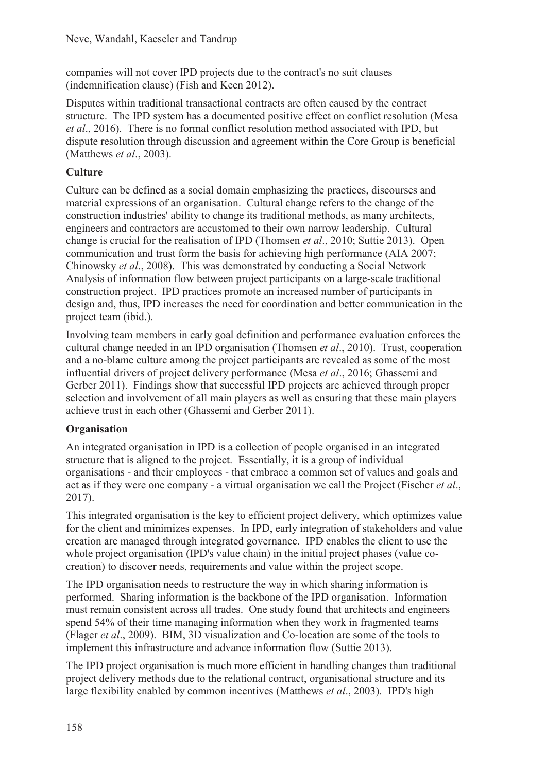companies will not cover IPD projects due to the contract's no suit clauses (indemnification clause) (Fish and Keen 2012).

Disputes within traditional transactional contracts are often caused by the contract structure. The IPD system has a documented positive effect on conflict resolution (Mesa *et al*., 2016). There is no formal conflict resolution method associated with IPD, but dispute resolution through discussion and agreement within the Core Group is beneficial (Matthews *et al*., 2003).

### **Culture**

Culture can be defined as a social domain emphasizing the practices, discourses and material expressions of an organisation. Cultural change refers to the change of the construction industries' ability to change its traditional methods, as many architects, engineers and contractors are accustomed to their own narrow leadership. Cultural change is crucial for the realisation of IPD (Thomsen *et al*., 2010; Suttie 2013). Open communication and trust form the basis for achieving high performance (AIA 2007; Chinowsky *et al*., 2008). This was demonstrated by conducting a Social Network Analysis of information flow between project participants on a large-scale traditional construction project. IPD practices promote an increased number of participants in design and, thus, IPD increases the need for coordination and better communication in the project team (ibid.).

Involving team members in early goal definition and performance evaluation enforces the cultural change needed in an IPD organisation (Thomsen *et al*., 2010). Trust, cooperation and a no-blame culture among the project participants are revealed as some of the most influential drivers of project delivery performance (Mesa *et al*., 2016; Ghassemi and Gerber 2011). Findings show that successful IPD projects are achieved through proper selection and involvement of all main players as well as ensuring that these main players achieve trust in each other (Ghassemi and Gerber 2011).

#### **Organisation**

An integrated organisation in IPD is a collection of people organised in an integrated structure that is aligned to the project. Essentially, it is a group of individual organisations - and their employees - that embrace a common set of values and goals and act as if they were one company - a virtual organisation we call the Project (Fischer *et al*., 2017).

This integrated organisation is the key to efficient project delivery, which optimizes value for the client and minimizes expenses. In IPD, early integration of stakeholders and value creation are managed through integrated governance. IPD enables the client to use the whole project organisation (IPD's value chain) in the initial project phases (value cocreation) to discover needs, requirements and value within the project scope.

The IPD organisation needs to restructure the way in which sharing information is performed. Sharing information is the backbone of the IPD organisation. Information must remain consistent across all trades. One study found that architects and engineers spend 54% of their time managing information when they work in fragmented teams (Flager *et al*., 2009). BIM, 3D visualization and Co-location are some of the tools to implement this infrastructure and advance information flow (Suttie 2013).

The IPD project organisation is much more efficient in handling changes than traditional project delivery methods due to the relational contract, organisational structure and its large flexibility enabled by common incentives (Matthews *et al*., 2003). IPD's high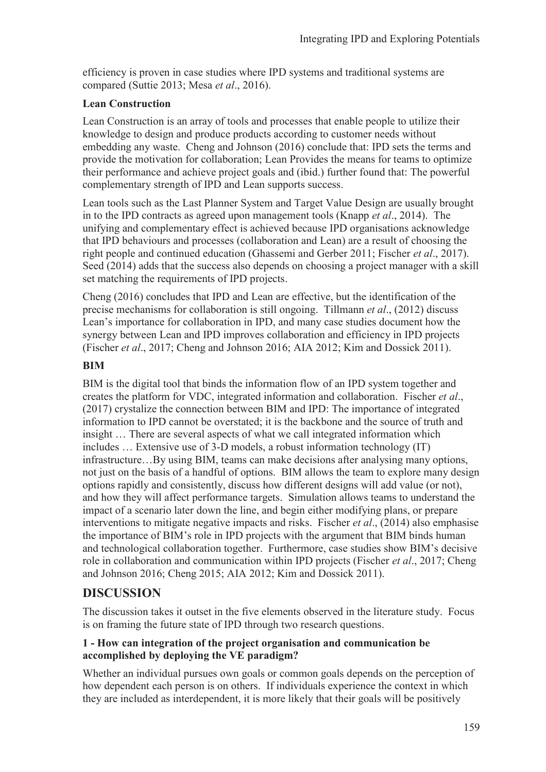efficiency is proven in case studies where IPD systems and traditional systems are compared (Suttie 2013; Mesa *et al*., 2016).

#### **Lean Construction**

Lean Construction is an array of tools and processes that enable people to utilize their knowledge to design and produce products according to customer needs without embedding any waste. Cheng and Johnson (2016) conclude that: IPD sets the terms and provide the motivation for collaboration; Lean Provides the means for teams to optimize their performance and achieve project goals and (ibid.) further found that: The powerful complementary strength of IPD and Lean supports success.

Lean tools such as the Last Planner System and Target Value Design are usually brought in to the IPD contracts as agreed upon management tools (Knapp *et al*., 2014). The unifying and complementary effect is achieved because IPD organisations acknowledge that IPD behaviours and processes (collaboration and Lean) are a result of choosing the right people and continued education (Ghassemi and Gerber 2011; Fischer *et al*., 2017). Seed (2014) adds that the success also depends on choosing a project manager with a skill set matching the requirements of IPD projects.

Cheng (2016) concludes that IPD and Lean are effective, but the identification of the precise mechanisms for collaboration is still ongoing. Tillmann *et al*., (2012) discuss Lean's importance for collaboration in IPD, and many case studies document how the synergy between Lean and IPD improves collaboration and efficiency in IPD projects (Fischer *et al*., 2017; Cheng and Johnson 2016; AIA 2012; Kim and Dossick 2011).

#### **BIM**

BIM is the digital tool that binds the information flow of an IPD system together and creates the platform for VDC, integrated information and collaboration. Fischer *et al*., (2017) crystalize the connection between BIM and IPD: The importance of integrated information to IPD cannot be overstated; it is the backbone and the source of truth and insight … There are several aspects of what we call integrated information which includes … Extensive use of 3-D models, a robust information technology (IT) infrastructure…By using BIM, teams can make decisions after analysing many options, not just on the basis of a handful of options. BIM allows the team to explore many design options rapidly and consistently, discuss how different designs will add value (or not), and how they will affect performance targets. Simulation allows teams to understand the impact of a scenario later down the line, and begin either modifying plans, or prepare interventions to mitigate negative impacts and risks. Fischer *et al*., (2014) also emphasise the importance of BIM's role in IPD projects with the argument that BIM binds human and technological collaboration together. Furthermore, case studies show BIM's decisive role in collaboration and communication within IPD projects (Fischer *et al*., 2017; Cheng and Johnson 2016; Cheng 2015; AIA 2012; Kim and Dossick 2011).

## **DISCUSSION**

The discussion takes it outset in the five elements observed in the literature study. Focus is on framing the future state of IPD through two research questions.

#### **1 - How can integration of the project organisation and communication be accomplished by deploying the VE paradigm?**

Whether an individual pursues own goals or common goals depends on the perception of how dependent each person is on others. If individuals experience the context in which they are included as interdependent, it is more likely that their goals will be positively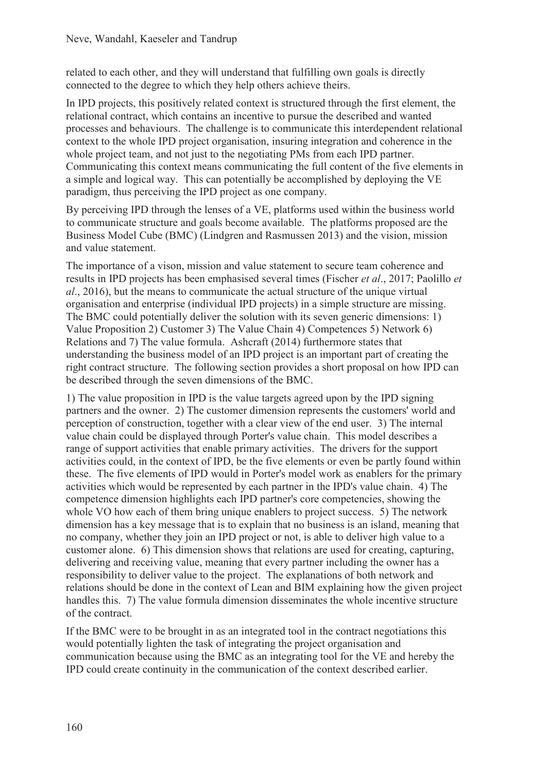related to each other, and they will understand that fulfilling own goals is directly connected to the degree to which they help others achieve theirs.

In IPD projects, this positively related context is structured through the first element, the relational contract, which contains an incentive to pursue the described and wanted processes and behaviours. The challenge is to communicate this interdependent relational context to the whole IPD project organisation, insuring integration and coherence in the whole project team, and not just to the negotiating PMs from each IPD partner. Communicating this context means communicating the full content of the five elements in a simple and logical way. This can potentially be accomplished by deploying the VE paradigm, thus perceiving the IPD project as one company.

By perceiving IPD through the lenses of a VE, platforms used within the business world to communicate structure and goals become available. The platforms proposed are the Business Model Cube (BMC) (Lindgren and Rasmussen 2013) and the vision, mission and value statement.

The importance of a vison, mission and value statement to secure team coherence and results in IPD projects has been emphasised several times (Fischer *et al*., 2017; Paolillo *et al*., 2016), but the means to communicate the actual structure of the unique virtual organisation and enterprise (individual IPD projects) in a simple structure are missing. The BMC could potentially deliver the solution with its seven generic dimensions: 1) Value Proposition 2) Customer 3) The Value Chain 4) Competences 5) Network 6) Relations and 7) The value formula. Ashcraft (2014) furthermore states that understanding the business model of an IPD project is an important part of creating the right contract structure. The following section provides a short proposal on how IPD can be described through the seven dimensions of the BMC.

1) The value proposition in IPD is the value targets agreed upon by the IPD signing partners and the owner. 2) The customer dimension represents the customers' world and perception of construction, together with a clear view of the end user. 3) The internal value chain could be displayed through Porter's value chain. This model describes a range of support activities that enable primary activities. The drivers for the support activities could, in the context of IPD, be the five elements or even be partly found within these. The five elements of IPD would in Porter's model work as enablers for the primary activities which would be represented by each partner in the IPD's value chain. 4) The competence dimension highlights each IPD partner's core competencies, showing the whole VO how each of them bring unique enablers to project success. 5) The network dimension has a key message that is to explain that no business is an island, meaning that no company, whether they join an IPD project or not, is able to deliver high value to a customer alone. 6) This dimension shows that relations are used for creating, capturing, delivering and receiving value, meaning that every partner including the owner has a responsibility to deliver value to the project. The explanations of both network and relations should be done in the context of Lean and BIM explaining how the given project handles this. 7) The value formula dimension disseminates the whole incentive structure of the contract.

If the BMC were to be brought in as an integrated tool in the contract negotiations this would potentially lighten the task of integrating the project organisation and communication because using the BMC as an integrating tool for the VE and hereby the IPD could create continuity in the communication of the context described earlier.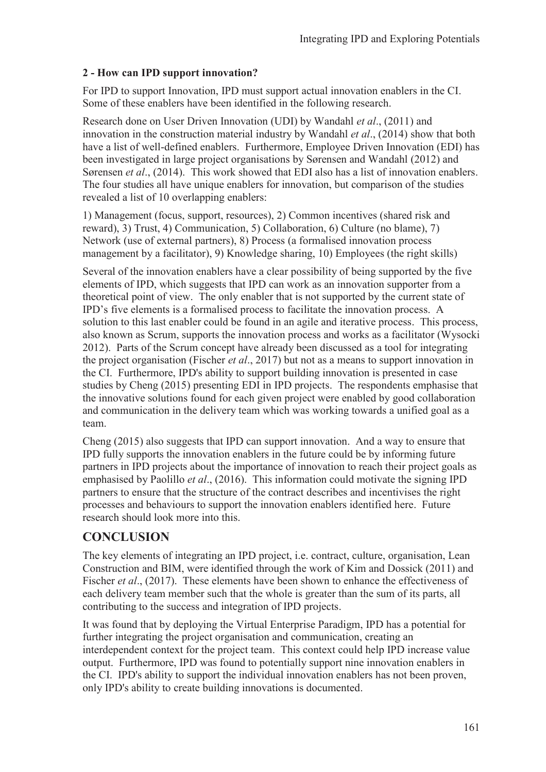### **2 - How can IPD support innovation?**

For IPD to support Innovation, IPD must support actual innovation enablers in the CI. Some of these enablers have been identified in the following research.

Research done on User Driven Innovation (UDI) by Wandahl *et al*., (2011) and innovation in the construction material industry by Wandahl *et al*., (2014) show that both have a list of well-defined enablers. Furthermore, Employee Driven Innovation (EDI) has been investigated in large project organisations by Sørensen and Wandahl (2012) and Sørensen *et al*., (2014). This work showed that EDI also has a list of innovation enablers. The four studies all have unique enablers for innovation, but comparison of the studies revealed a list of 10 overlapping enablers:

1) Management (focus, support, resources), 2) Common incentives (shared risk and reward), 3) Trust, 4) Communication, 5) Collaboration, 6) Culture (no blame), 7) Network (use of external partners), 8) Process (a formalised innovation process management by a facilitator), 9) Knowledge sharing, 10) Employees (the right skills)

Several of the innovation enablers have a clear possibility of being supported by the five elements of IPD, which suggests that IPD can work as an innovation supporter from a theoretical point of view. The only enabler that is not supported by the current state of IPD's five elements is a formalised process to facilitate the innovation process. A solution to this last enabler could be found in an agile and iterative process. This process, also known as Scrum, supports the innovation process and works as a facilitator (Wysocki 2012). Parts of the Scrum concept have already been discussed as a tool for integrating the project organisation (Fischer *et al*., 2017) but not as a means to support innovation in the CI. Furthermore, IPD's ability to support building innovation is presented in case studies by Cheng (2015) presenting EDI in IPD projects. The respondents emphasise that the innovative solutions found for each given project were enabled by good collaboration and communication in the delivery team which was working towards a unified goal as a team.

Cheng (2015) also suggests that IPD can support innovation. And a way to ensure that IPD fully supports the innovation enablers in the future could be by informing future partners in IPD projects about the importance of innovation to reach their project goals as emphasised by Paolillo *et al*., (2016). This information could motivate the signing IPD partners to ensure that the structure of the contract describes and incentivises the right processes and behaviours to support the innovation enablers identified here. Future research should look more into this.

# **CONCLUSION**

The key elements of integrating an IPD project, i.e. contract, culture, organisation, Lean Construction and BIM, were identified through the work of Kim and Dossick (2011) and Fischer *et al.*, (2017). These elements have been shown to enhance the effectiveness of each delivery team member such that the whole is greater than the sum of its parts, all contributing to the success and integration of IPD projects.

It was found that by deploying the Virtual Enterprise Paradigm, IPD has a potential for further integrating the project organisation and communication, creating an interdependent context for the project team. This context could help IPD increase value output. Furthermore, IPD was found to potentially support nine innovation enablers in the CI. IPD's ability to support the individual innovation enablers has not been proven, only IPD's ability to create building innovations is documented.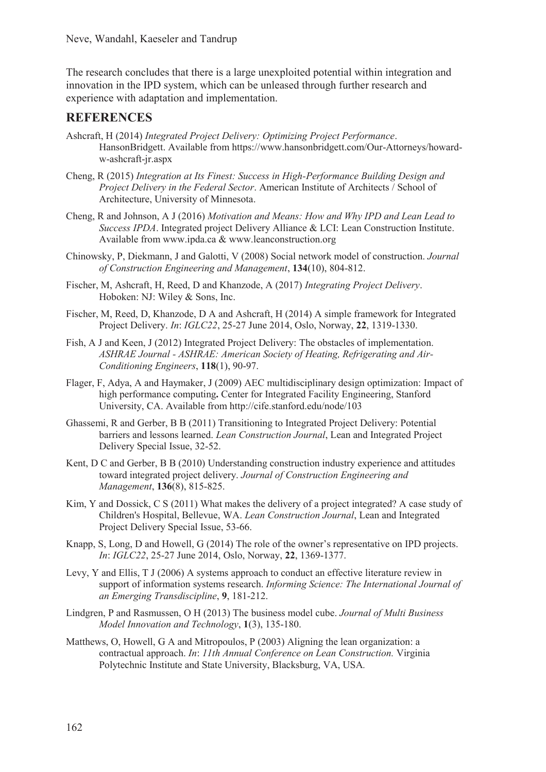The research concludes that there is a large unexploited potential within integration and innovation in the IPD system, which can be unleased through further research and experience with adaptation and implementation.

### **REFERENCES**

- Ashcraft, H (2014) *Integrated Project Delivery: Optimizing Project Performance*. HansonBridgett. Available from https://www.hansonbridgett.com/Our-Attorneys/howardw-ashcraft-jr.aspx
- Cheng, R (2015) *Integration at Its Finest: Success in High-Performance Building Design and Project Delivery in the Federal Sector*. American Institute of Architects / School of Architecture, University of Minnesota.
- Cheng, R and Johnson, A J (2016) *Motivation and Means: How and Why IPD and Lean Lead to Success IPDA*. Integrated project Delivery Alliance & LCI: Lean Construction Institute. Available from www.ipda.ca & www.leanconstruction.org
- Chinowsky, P, Diekmann, J and Galotti, V (2008) Social network model of construction. *Journal of Construction Engineering and Management*, **134**(10), 804-812.
- Fischer, M, Ashcraft, H, Reed, D and Khanzode, A (2017) *Integrating Project Delivery*. Hoboken: NJ: Wiley & Sons, Inc.
- Fischer, M, Reed, D, Khanzode, D A and Ashcraft, H (2014) A simple framework for Integrated Project Delivery. *In*: *IGLC22*, 25-27 June 2014, Oslo, Norway, **22**, 1319-1330.
- Fish, A J and Keen, J (2012) Integrated Project Delivery: The obstacles of implementation. *ASHRAE Journal - ASHRAE: American Society of Heating, Refrigerating and Air-Conditioning Engineers*, **118**(1), 90-97.
- Flager, F, Adya, A and Haymaker, J (2009) AEC multidisciplinary design optimization: Impact of high performance computing**.** Center for Integrated Facility Engineering, Stanford University, CA. Available from http://cife.stanford.edu/node/103
- Ghassemi, R and Gerber, B B (2011) Transitioning to Integrated Project Delivery: Potential barriers and lessons learned. *Lean Construction Journal*, Lean and Integrated Project Delivery Special Issue, 32-52.
- Kent, D C and Gerber, B B (2010) Understanding construction industry experience and attitudes toward integrated project delivery. *Journal of Construction Engineering and Management*, **136**(8), 815-825.
- Kim, Y and Dossick, C S (2011) What makes the delivery of a project integrated? A case study of Children's Hospital, Bellevue, WA. *Lean Construction Journal*, Lean and Integrated Project Delivery Special Issue, 53-66.
- Knapp, S, Long, D and Howell, G (2014) The role of the owner's representative on IPD projects. *In*: *IGLC22*, 25-27 June 2014, Oslo, Norway, **22**, 1369-1377.
- Levy, Y and Ellis, T J (2006) A systems approach to conduct an effective literature review in support of information systems research. *Informing Science: The International Journal of an Emerging Transdiscipline*, **9**, 181-212.
- Lindgren, P and Rasmussen, O H (2013) The business model cube. *Journal of Multi Business Model Innovation and Technology*, **1**(3), 135-180.
- Matthews, O, Howell, G A and Mitropoulos, P (2003) Aligning the lean organization: a contractual approach. *In*: *11th Annual Conference on Lean Construction.* Virginia Polytechnic Institute and State University, Blacksburg, VA, USA*.*